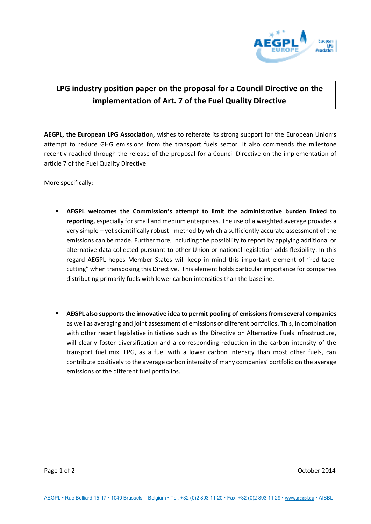

## **LPG industry position paper on the proposal for a Council Directive on the implementation of Art. 7 of the Fuel Quality Directive**

**AEGPL, the European LPG Association,** wishes to reiterate its strong support for the European Union's attempt to reduce GHG emissions from the transport fuels sector. It also commends the milestone recently reached through the release of the proposal for a Council Directive on the implementation of article 7 of the Fuel Quality Directive.

More specifically:

- **AEGPL welcomes the Commission's attempt to limit the administrative burden linked to reporting,** especially for small and medium enterprises. The use of a weighted average provides a very simple – yet scientifically robust - method by which a sufficiently accurate assessment of the emissions can be made. Furthermore, including the possibility to report by applying additional or alternative data collected pursuant to other Union or national legislation adds flexibility. In this regard AEGPL hopes Member States will keep in mind this important element of "red-tapecutting" when transposing this Directive. This element holds particular importance for companies distributing primarily fuels with lower carbon intensities than the baseline.
- **AEGPL also supports the innovative idea to permit pooling of emissions from several companies** as well as averaging and joint assessment of emissions of different portfolios. This, in combination with other recent legislative initiatives such as the Directive on Alternative Fuels Infrastructure, will clearly foster diversification and a corresponding reduction in the carbon intensity of the transport fuel mix. LPG, as a fuel with a lower carbon intensity than most other fuels, can contribute positively to the average carbon intensity of many companies' portfolio on the average emissions of the different fuel portfolios.